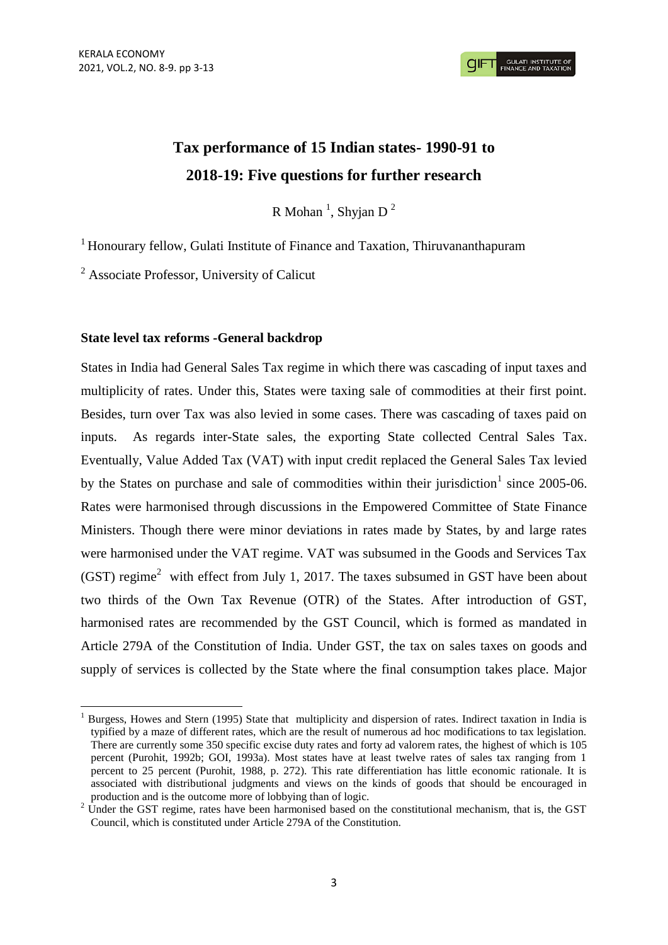# **Tax performance of 15 Indian states- 1990-91 to 2018-19: Five questions for further research**

R Mohan<sup>1</sup>, Shyjan D<sup>2</sup>

<sup>1</sup> Honourary fellow, Gulati Institute of Finance and Taxation, Thiruvananthapuram

 $2^2$  Associate Professor, University of Calicut

# **State level tax reforms -General backdrop**

States in India had General Sales Tax regime in which there was cascading of input taxes and multiplicity of rates. Under this, States were taxing sale of commodities at their first point. Besides, turn over Tax was also levied in some cases. There was cascading of taxes paid on inputs. As regards inter-State sales, the exporting State collected Central Sales Tax. Eventually, Value Added Tax (VAT) with input credit replaced the General Sales Tax levied by the States on purchase and sale of commodities within their jurisdiction<sup>1</sup> since  $2005-06$ . Rates were harmonised through discussions in the Empowered Committee of State Finance Ministers. Though there were minor deviations in rates made by States, by and large rates were harmonised under the VAT regime. VAT was subsumed in the Goods and Services Tax  $(GST)$  regime<sup>2</sup> with effect from July 1, 2017. The taxes subsumed in GST have been about two thirds of the Own Tax Revenue (OTR) of the States. After introduction of GST, harmonised rates are recommended by the GST Council, which is formed as mandated in Article 279A of the Constitution of India. Under GST, the tax on sales taxes on goods and supply of services is collected by the State where the final consumption takes place. Major

<sup>1</sup> <sup>1</sup> Burgess, Howes and Stern (1995) State that multiplicity and dispersion of rates. Indirect taxation in India is typified by a maze of different rates, which are the result of numerous ad hoc modifications to tax legislation. There are currently some 350 specific excise duty rates and forty ad valorem rates, the highest of which is 105 percent (Purohit, 1992b; GOI, 1993a). Most states have at least twelve rates of sales tax ranging from 1 percent to 25 percent (Purohit, 1988, p. 272). This rate differentiation has little economic rationale. It is associated with distributional judgments and views on the kinds of goods that should be encouraged in production and is the outcome more of lobbying than of logic.

<sup>&</sup>lt;sup>2</sup> Under the GST regime, rates have been harmonised based on the constitutional mechanism, that is, the GST Council, which is constituted under Article 279A of the Constitution.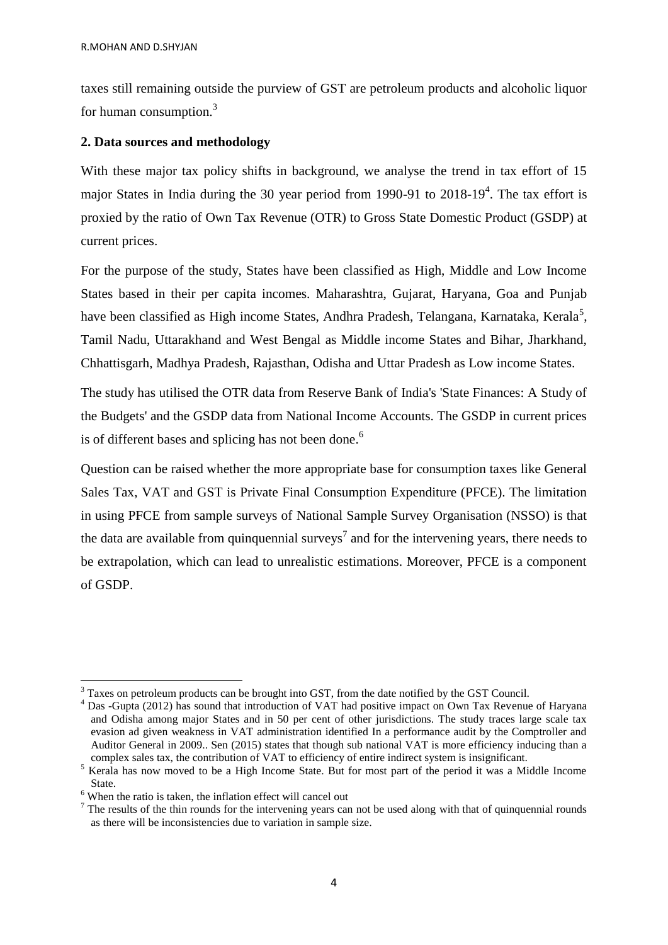taxes still remaining outside the purview of GST are petroleum products and alcoholic liquor for human consumption.<sup>3</sup>

# **2. Data sources and methodology**

With these major tax policy shifts in background, we analyse the trend in tax effort of 15 major States in India during the 30 year period from 1990-91 to 2018-19<sup>4</sup>. The tax effort is proxied by the ratio of Own Tax Revenue (OTR) to Gross State Domestic Product (GSDP) at current prices.

For the purpose of the study, States have been classified as High, Middle and Low Income States based in their per capita incomes. Maharashtra, Gujarat, Haryana, Goa and Punjab have been classified as High income States, Andhra Pradesh, Telangana, Karnataka, Kerala<sup>5</sup>, Tamil Nadu, Uttarakhand and West Bengal as Middle income States and Bihar, Jharkhand, Chhattisgarh, Madhya Pradesh, Rajasthan, Odisha and Uttar Pradesh as Low income States.

The study has utilised the OTR data from Reserve Bank of India's 'State Finances: A Study of the Budgets' and the GSDP data from National Income Accounts. The GSDP in current prices is of different bases and splicing has not been done.<sup>6</sup>

Question can be raised whether the more appropriate base for consumption taxes like General Sales Tax, VAT and GST is Private Final Consumption Expenditure (PFCE). The limitation in using PFCE from sample surveys of National Sample Survey Organisation (NSSO) is that the data are available from quinquennial surveys<sup>7</sup> and for the intervening years, there needs to be extrapolation, which can lead to unrealistic estimations. Moreover, PFCE is a component of GSDP.

1

<sup>&</sup>lt;sup>3</sup> Taxes on petroleum products can be brought into GST, from the date notified by the GST Council.

<sup>4</sup> Das -Gupta (2012) has sound that introduction of VAT had positive impact on Own Tax Revenue of Haryana and Odisha among major States and in 50 per cent of other jurisdictions. The study traces large scale tax evasion ad given weakness in VAT administration identified In a performance audit by the Comptroller and Auditor General in 2009.. Sen (2015) states that though sub national VAT is more efficiency inducing than a complex sales tax, the contribution of VAT to efficiency of entire indirect system is insignificant.

<sup>5</sup> Kerala has now moved to be a High Income State. But for most part of the period it was a Middle Income State.

 $6$  When the ratio is taken, the inflation effect will cancel out

 $<sup>7</sup>$  The results of the thin rounds for the intervening years can not be used along with that of quinquennial rounds</sup> as there will be inconsistencies due to variation in sample size.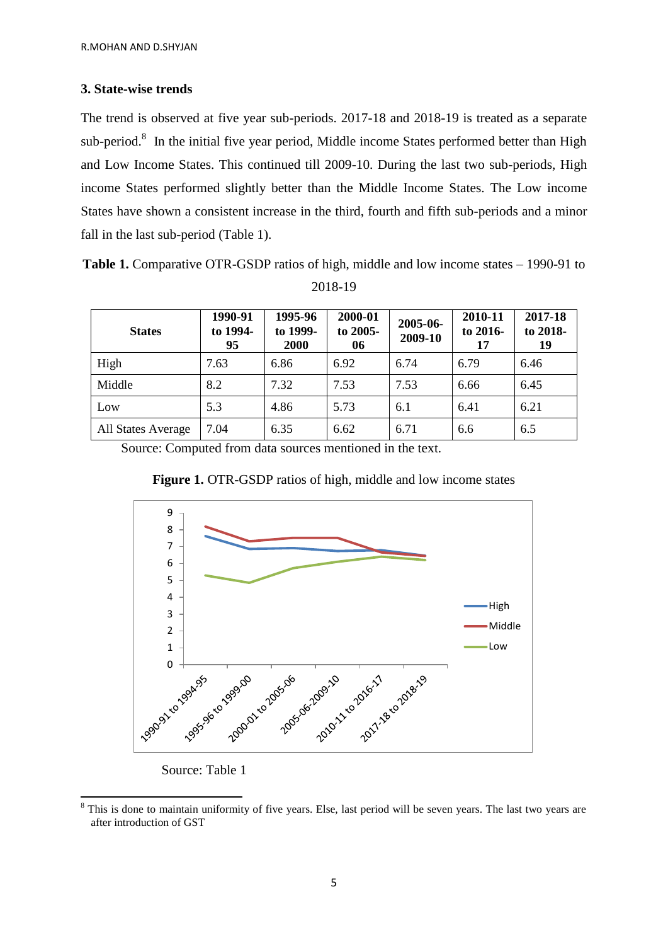# **3. State-wise trends**

The trend is observed at five year sub-periods. 2017-18 and 2018-19 is treated as a separate sub-period. $8$  In the initial five year period, Middle income States performed better than High and Low Income States. This continued till 2009-10. During the last two sub-periods, High income States performed slightly better than the Middle Income States. The Low income States have shown a consistent increase in the third, fourth and fifth sub-periods and a minor fall in the last sub-period (Table 1).

**Table 1.** Comparative OTR-GSDP ratios of high, middle and low income states – 1990-91 to 2018-19

| <b>States</b>      | 1990-91<br>to 1994-<br>95 | 1995-96<br>to 1999-<br>2000 | 2000-01<br>to 2005-<br>06 | 2005-06-<br>2009-10 | 2010-11<br>to 2016-<br>17 | 2017-18<br>to 2018-<br>19 |
|--------------------|---------------------------|-----------------------------|---------------------------|---------------------|---------------------------|---------------------------|
| High               | 7.63                      | 6.86                        | 6.92                      | 6.74                | 6.79                      | 6.46                      |
| Middle             | 8.2                       | 7.32                        | 7.53                      | 7.53                | 6.66                      | 6.45                      |
| Low                | 5.3                       | 4.86                        | 5.73                      | 6.1                 | 6.41                      | 6.21                      |
| All States Average | 7.04                      | 6.35                        | 6.62                      | 6.71                | 6.6                       | 6.5                       |

Source: Computed from data sources mentioned in the text.





Source: Table 1

**<sup>.</sup>** <sup>8</sup> This is done to maintain uniformity of five years. Else, last period will be seven years. The last two years are after introduction of GST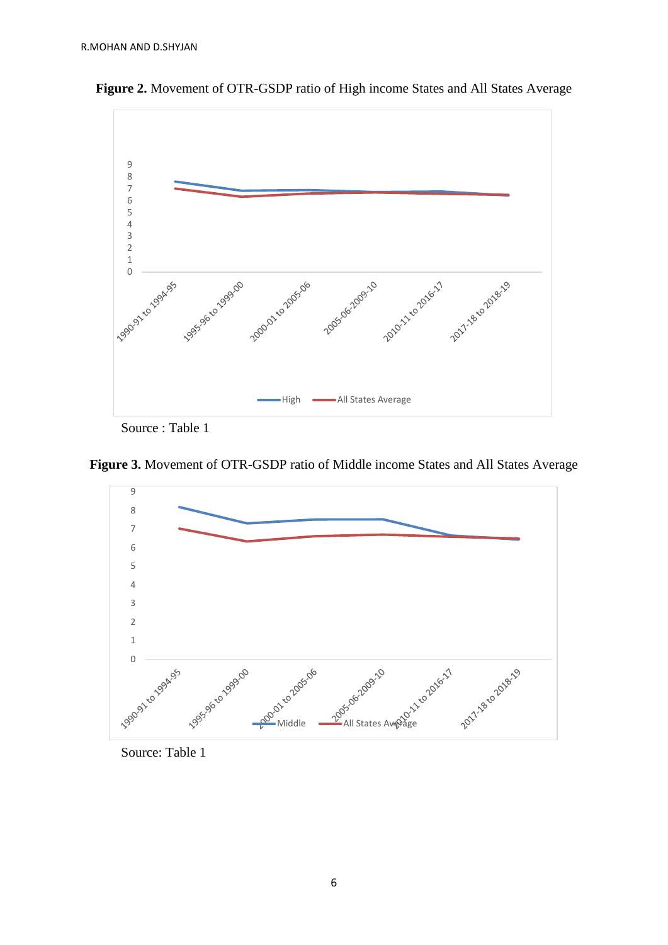

**Figure 2.** Movement of OTR-GSDP ratio of High income States and All States Average

Source : Table 1





Source: Table 1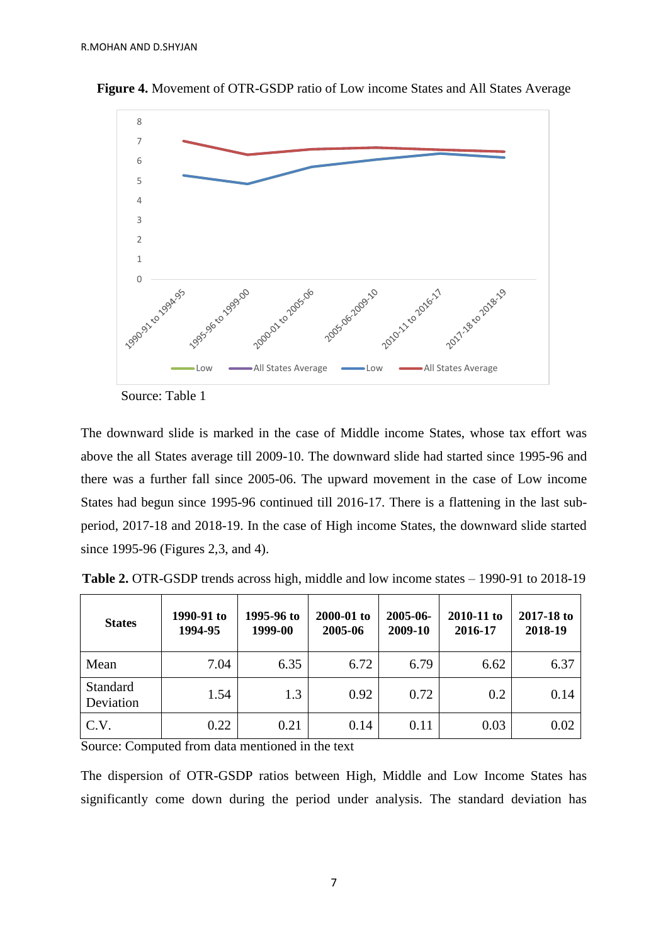

**Figure 4.** Movement of OTR-GSDP ratio of Low income States and All States Average

Source: Table 1

The downward slide is marked in the case of Middle income States, whose tax effort was above the all States average till 2009-10. The downward slide had started since 1995-96 and there was a further fall since 2005-06. The upward movement in the case of Low income States had begun since 1995-96 continued till 2016-17. There is a flattening in the last subperiod, 2017-18 and 2018-19. In the case of High income States, the downward slide started since 1995-96 (Figures 2,3, and 4).

| <b>States</b>                | 1990-91 to<br>1994-95 | 1995-96 to<br>1999-00 | 2000-01 to<br>2005-06 | 2005-06-<br>2009-10 | 2010-11 to<br>2016-17 | 2017-18 to<br>2018-19 |
|------------------------------|-----------------------|-----------------------|-----------------------|---------------------|-----------------------|-----------------------|
| Mean                         | 7.04                  | 6.35                  | 6.72                  | 6.79                | 6.62                  | 6.37                  |
| <b>Standard</b><br>Deviation | 1.54                  | 1.3                   | 0.92                  | 0.72                | 0.2                   | 0.14                  |
| C.V.                         | 0.22                  | 0.21                  | 0.14                  | 0.11                | 0.03                  | 0.02                  |

**Table 2.** OTR-GSDP trends across high, middle and low income states – 1990-91 to 2018-19

Source: Computed from data mentioned in the text

The dispersion of OTR-GSDP ratios between High, Middle and Low Income States has significantly come down during the period under analysis. The standard deviation has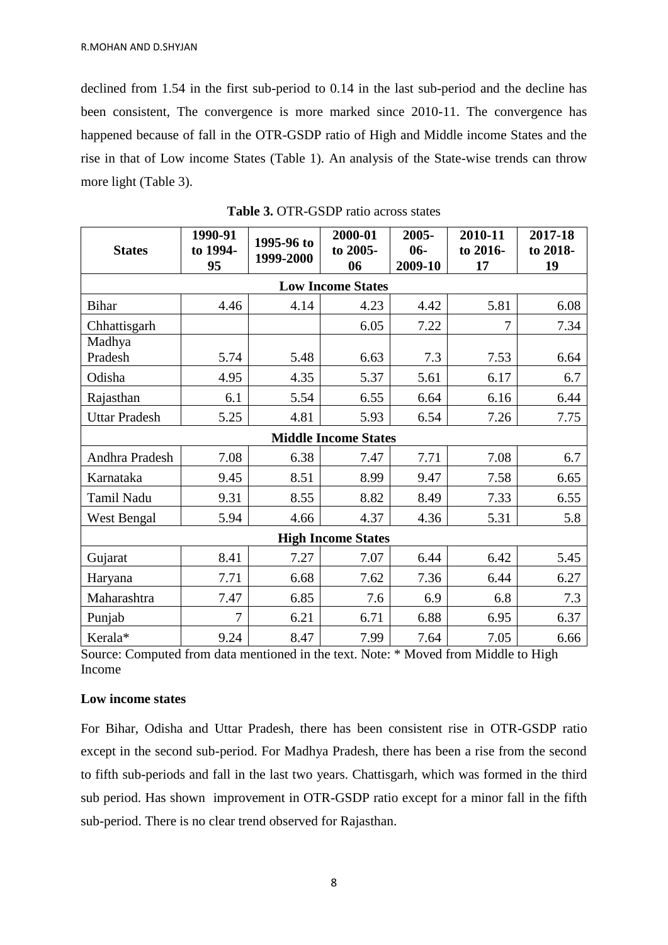declined from 1.54 in the first sub-period to 0.14 in the last sub-period and the decline has been consistent, The convergence is more marked since 2010-11. The convergence has happened because of fall in the OTR-GSDP ratio of High and Middle income States and the rise in that of Low income States (Table 1). An analysis of the State-wise trends can throw more light (Table 3).

| <b>States</b>               | 1990-91<br>to 1994-<br>95 | 1995-96 to<br>1999-2000 | 2000-01<br>to 2005-<br>06 | 2005-<br>$06 -$<br>2009-10 | 2010-11<br>to 2016-<br>17 | 2017-18<br>to 2018-<br>19 |  |
|-----------------------------|---------------------------|-------------------------|---------------------------|----------------------------|---------------------------|---------------------------|--|
| <b>Low Income States</b>    |                           |                         |                           |                            |                           |                           |  |
| <b>Bihar</b>                | 4.46                      | 4.14                    | 4.23                      | 4.42                       | 5.81                      | 6.08                      |  |
| Chhattisgarh                |                           |                         | 6.05                      | 7.22                       | 7                         | 7.34                      |  |
| Madhya                      |                           |                         |                           |                            |                           |                           |  |
| Pradesh                     | 5.74                      | 5.48                    | 6.63                      | 7.3                        | 7.53                      | 6.64                      |  |
| Odisha                      | 4.95                      | 4.35                    | 5.37                      | 5.61                       | 6.17                      | 6.7                       |  |
| Rajasthan                   | 6.1                       | 5.54                    | 6.55                      | 6.64                       | 6.16                      | 6.44                      |  |
| <b>Uttar Pradesh</b>        | 5.25                      | 4.81                    | 5.93                      | 6.54                       | 7.26                      | 7.75                      |  |
| <b>Middle Income States</b> |                           |                         |                           |                            |                           |                           |  |
| Andhra Pradesh              | 7.08                      | 6.38                    | 7.47                      | 7.71                       | 7.08                      | 6.7                       |  |
| Karnataka                   | 9.45                      | 8.51                    | 8.99                      | 9.47                       | 7.58                      | 6.65                      |  |
| Tamil Nadu                  | 9.31                      | 8.55                    | 8.82                      | 8.49                       | 7.33                      | 6.55                      |  |
| <b>West Bengal</b>          | 5.94                      | 4.66                    | 4.37                      | 4.36                       | 5.31                      | 5.8                       |  |
| <b>High Income States</b>   |                           |                         |                           |                            |                           |                           |  |
| Gujarat                     | 8.41                      | 7.27                    | 7.07                      | 6.44                       | 6.42                      | 5.45                      |  |
| Haryana                     | 7.71                      | 6.68                    | 7.62                      | 7.36                       | 6.44                      | 6.27                      |  |
| Maharashtra                 | 7.47                      | 6.85                    | 7.6                       | 6.9                        | 6.8                       | 7.3                       |  |
| Punjab                      | $\overline{7}$            | 6.21                    | 6.71                      | 6.88                       | 6.95                      | 6.37                      |  |
| Kerala*                     | 9.24                      | 8.47                    | 7.99                      | 7.64                       | 7.05                      | 6.66                      |  |

**Table 3.** OTR-GSDP ratio across states

Source: Computed from data mentioned in the text. Note: \* Moved from Middle to High Income

### **Low income states**

For Bihar, Odisha and Uttar Pradesh, there has been consistent rise in OTR-GSDP ratio except in the second sub-period. For Madhya Pradesh, there has been a rise from the second to fifth sub-periods and fall in the last two years. Chattisgarh, which was formed in the third sub period. Has shown improvement in OTR-GSDP ratio except for a minor fall in the fifth sub-period. There is no clear trend observed for Rajasthan.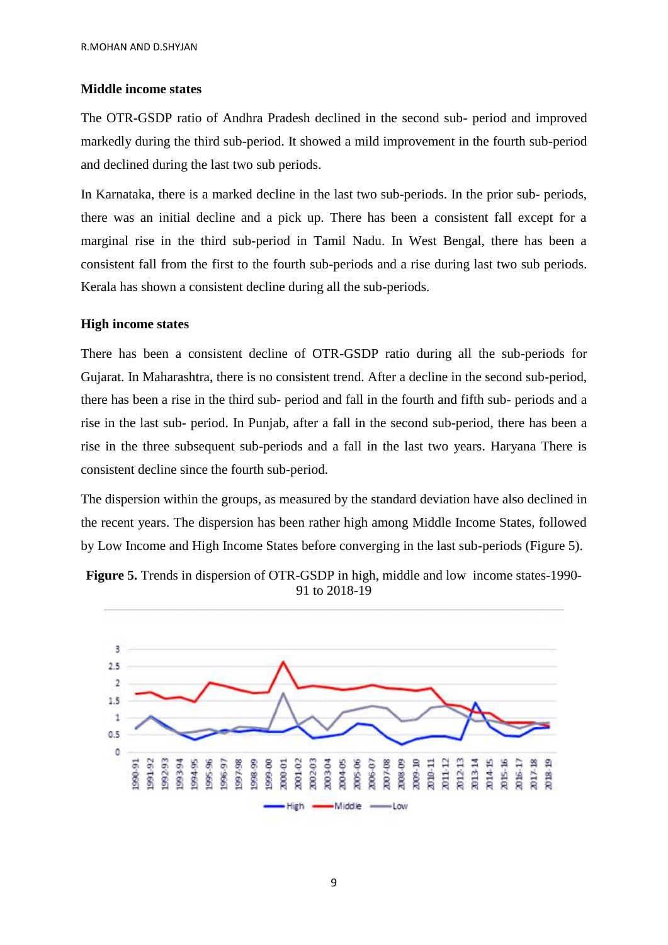# **Middle income states**

The OTR-GSDP ratio of Andhra Pradesh declined in the second sub- period and improved markedly during the third sub-period. It showed a mild improvement in the fourth sub-period and declined during the last two sub periods.

In Karnataka, there is a marked decline in the last two sub-periods. In the prior sub- periods, there was an initial decline and a pick up. There has been a consistent fall except for a marginal rise in the third sub-period in Tamil Nadu. In West Bengal, there has been a consistent fall from the first to the fourth sub-periods and a rise during last two sub periods. Kerala has shown a consistent decline during all the sub-periods.

# **High income states**

There has been a consistent decline of OTR-GSDP ratio during all the sub-periods for Gujarat. In Maharashtra, there is no consistent trend. After a decline in the second sub-period, there has been a rise in the third sub- period and fall in the fourth and fifth sub- periods and a rise in the last sub- period. In Punjab, after a fall in the second sub-period, there has been a rise in the three subsequent sub-periods and a fall in the last two years. Haryana There is consistent decline since the fourth sub-period.

The dispersion within the groups, as measured by the standard deviation have also declined in the recent years. The dispersion has been rather high among Middle Income States, followed by Low Income and High Income States before converging in the last sub-periods (Figure 5).



**Figure 5.** Trends in dispersion of OTR-GSDP in high, middle and low income states-1990- 91 to 2018-19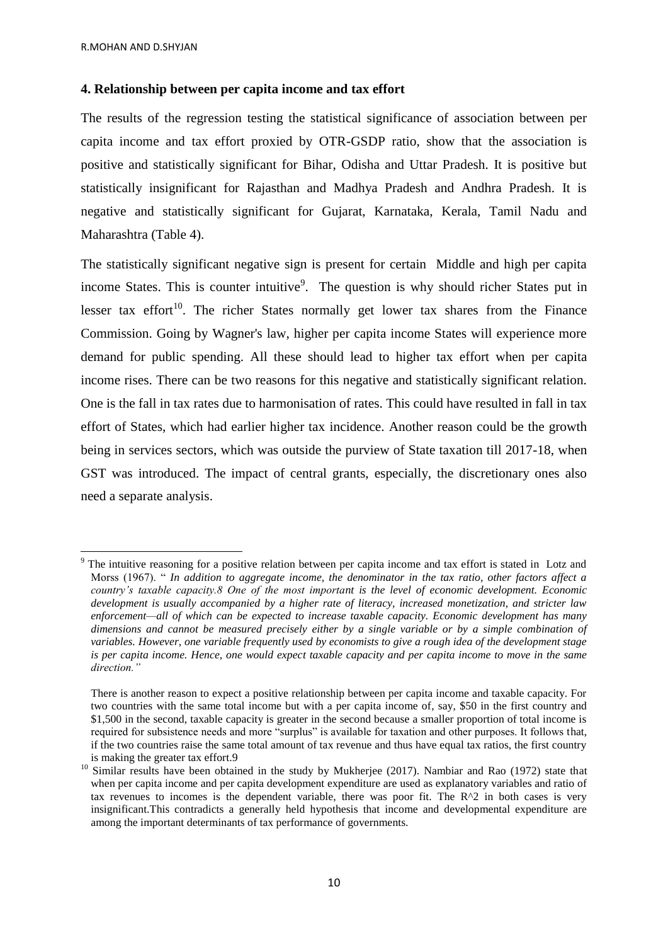1

#### **4. Relationship between per capita income and tax effort**

The results of the regression testing the statistical significance of association between per capita income and tax effort proxied by OTR-GSDP ratio, show that the association is positive and statistically significant for Bihar, Odisha and Uttar Pradesh. It is positive but statistically insignificant for Rajasthan and Madhya Pradesh and Andhra Pradesh. It is negative and statistically significant for Gujarat, Karnataka, Kerala, Tamil Nadu and Maharashtra (Table 4).

The statistically significant negative sign is present for certain Middle and high per capita income States. This is counter intuitive<sup>9</sup>. The question is why should richer States put in lesser tax effort<sup>10</sup>. The richer States normally get lower tax shares from the Finance Commission. Going by Wagner's law, higher per capita income States will experience more demand for public spending. All these should lead to higher tax effort when per capita income rises. There can be two reasons for this negative and statistically significant relation. One is the fall in tax rates due to harmonisation of rates. This could have resulted in fall in tax effort of States, which had earlier higher tax incidence. Another reason could be the growth being in services sectors, which was outside the purview of State taxation till 2017-18, when GST was introduced. The impact of central grants, especially, the discretionary ones also need a separate analysis.

The intuitive reasoning for a positive relation between per capita income and tax effort is stated in Lotz and Morss (1967). " *In addition to aggregate income, the denominator in the tax ratio, other factors affect a country's taxable capacity.8 One of the most important is the level of economic development. Economic development is usually accompanied by a higher rate of literacy, increased monetization, and stricter law enforcement—all of which can be expected to increase taxable capacity. Economic development has many dimensions and cannot be measured precisely either by a single variable or by a simple combination of variables. However, one variable frequently used by economists to give a rough idea of the development stage is per capita income. Hence, one would expect taxable capacity and per capita income to move in the same direction."*

There is another reason to expect a positive relationship between per capita income and taxable capacity. For two countries with the same total income but with a per capita income of, say, \$50 in the first country and \$1,500 in the second, taxable capacity is greater in the second because a smaller proportion of total income is required for subsistence needs and more "surplus" is available for taxation and other purposes. It follows that, if the two countries raise the same total amount of tax revenue and thus have equal tax ratios, the first country is making the greater tax effort.9

<sup>&</sup>lt;sup>10</sup> Similar results have been obtained in the study by Mukherjee (2017). Nambiar and Rao (1972) state that when per capita income and per capita development expenditure are used as explanatory variables and ratio of tax revenues to incomes is the dependent variable, there was poor fit. The  $R^2$  in both cases is very insignificant.This contradicts a generally held hypothesis that income and developmental expenditure are among the important determinants of tax performance of governments.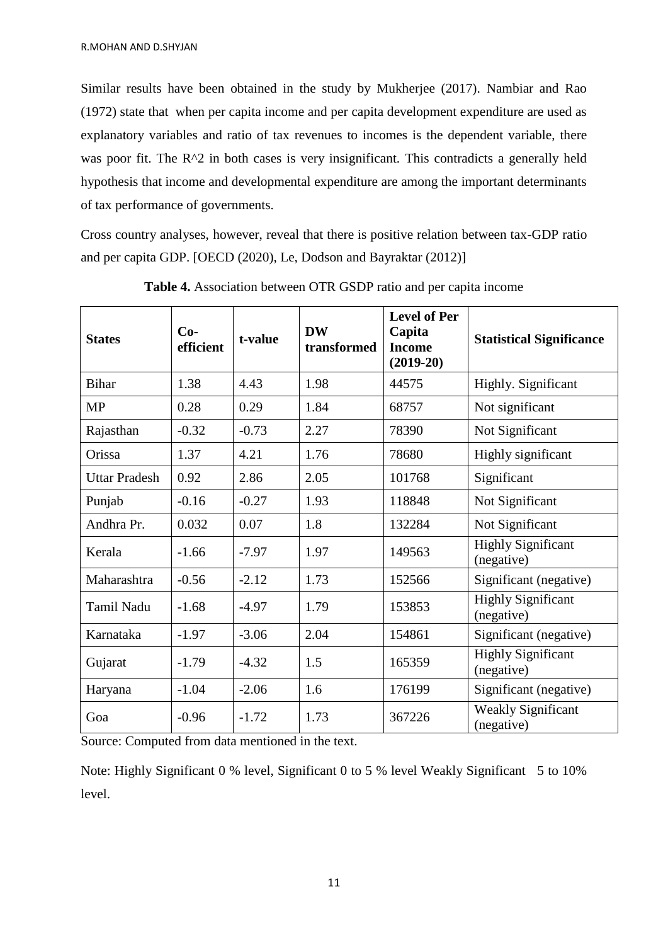Similar results have been obtained in the study by Mukherjee (2017). Nambiar and Rao (1972) state that when per capita income and per capita development expenditure are used as explanatory variables and ratio of tax revenues to incomes is the dependent variable, there was poor fit. The  $R^2$  in both cases is very insignificant. This contradicts a generally held hypothesis that income and developmental expenditure are among the important determinants of tax performance of governments.

Cross country analyses, however, reveal that there is positive relation between tax-GDP ratio and per capita GDP. [OECD (2020), Le, Dodson and Bayraktar (2012)]

| <b>States</b>        | $Co-$<br>efficient | t-value | <b>DW</b><br>transformed | <b>Level of Per</b><br>Capita<br><b>Income</b><br>$(2019-20)$ | <b>Statistical Significance</b>         |
|----------------------|--------------------|---------|--------------------------|---------------------------------------------------------------|-----------------------------------------|
| <b>Bihar</b>         | 1.38               | 4.43    | 1.98                     | 44575                                                         | Highly. Significant                     |
| <b>MP</b>            | 0.28               | 0.29    | 1.84                     | 68757                                                         | Not significant                         |
| Rajasthan            | $-0.32$            | $-0.73$ | 2.27                     | 78390                                                         | Not Significant                         |
| Orissa               | 1.37               | 4.21    | 1.76                     | 78680                                                         | Highly significant                      |
| <b>Uttar Pradesh</b> | 0.92               | 2.86    | 2.05                     | 101768                                                        | Significant                             |
| Punjab               | $-0.16$            | $-0.27$ | 1.93                     | 118848                                                        | Not Significant                         |
| Andhra Pr.           | 0.032              | 0.07    | 1.8                      | 132284                                                        | Not Significant                         |
| Kerala               | $-1.66$            | $-7.97$ | 1.97                     | 149563                                                        | <b>Highly Significant</b><br>(negative) |
| Maharashtra          | $-0.56$            | $-2.12$ | 1.73                     | 152566                                                        | Significant (negative)                  |
| Tamil Nadu           | $-1.68$            | $-4.97$ | 1.79                     | 153853                                                        | <b>Highly Significant</b><br>(negative) |
| Karnataka            | $-1.97$            | $-3.06$ | 2.04                     | 154861                                                        | Significant (negative)                  |
| Gujarat              | $-1.79$            | $-4.32$ | 1.5                      | 165359                                                        | <b>Highly Significant</b><br>(negative) |
| Haryana              | $-1.04$            | $-2.06$ | 1.6                      | 176199                                                        | Significant (negative)                  |
| Goa                  | $-0.96$            | $-1.72$ | 1.73                     | 367226                                                        | <b>Weakly Significant</b><br>(negative) |

**Table 4.** Association between OTR GSDP ratio and per capita income

Source: Computed from data mentioned in the text.

Note: Highly Significant 0 % level, Significant 0 to 5 % level Weakly Significant 5 to 10% level.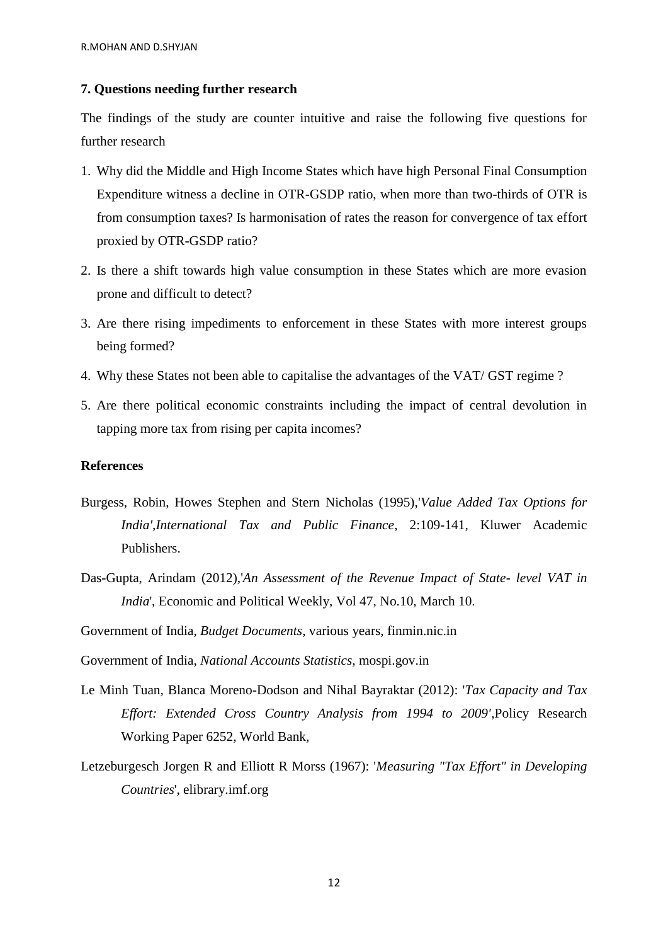#### **7. Questions needing further research**

The findings of the study are counter intuitive and raise the following five questions for further research

- 1. Why did the Middle and High Income States which have high Personal Final Consumption Expenditure witness a decline in OTR-GSDP ratio, when more than two-thirds of OTR is from consumption taxes? Is harmonisation of rates the reason for convergence of tax effort proxied by OTR-GSDP ratio?
- 2. Is there a shift towards high value consumption in these States which are more evasion prone and difficult to detect?
- 3. Are there rising impediments to enforcement in these States with more interest groups being formed?
- 4. Why these States not been able to capitalise the advantages of the VAT/ GST regime ?
- 5. Are there political economic constraints including the impact of central devolution in tapping more tax from rising per capita incomes?

#### **References**

- Burgess, Robin, Howes Stephen and Stern Nicholas (1995),'*Value Added Tax Options for India',International Tax and Public Finance*, 2:109-141, Kluwer Academic Publishers.
- Das-Gupta, Arindam (2012),'*An Assessment of the Revenue Impact of State- level VAT in India*', Economic and Political Weekly, Vol 47, No.10, March 10.
- Government of India, *Budget Documents*, various years, finmin.nic.in

Government of India, *National Accounts Statistics*, mospi.gov.in

- Le Minh Tuan, Blanca Moreno-Dodson and Nihal Bayraktar (2012): '*Tax Capacity and Tax Effort: Extended Cross Country Analysis from 1994 to 2009'*,Policy Research Working Paper 6252, World Bank,
- Letzeburgesch Jorgen R and Elliott R Morss (1967): '*Measuring "Tax Effort" in Developing Countries*', elibrary.imf.org